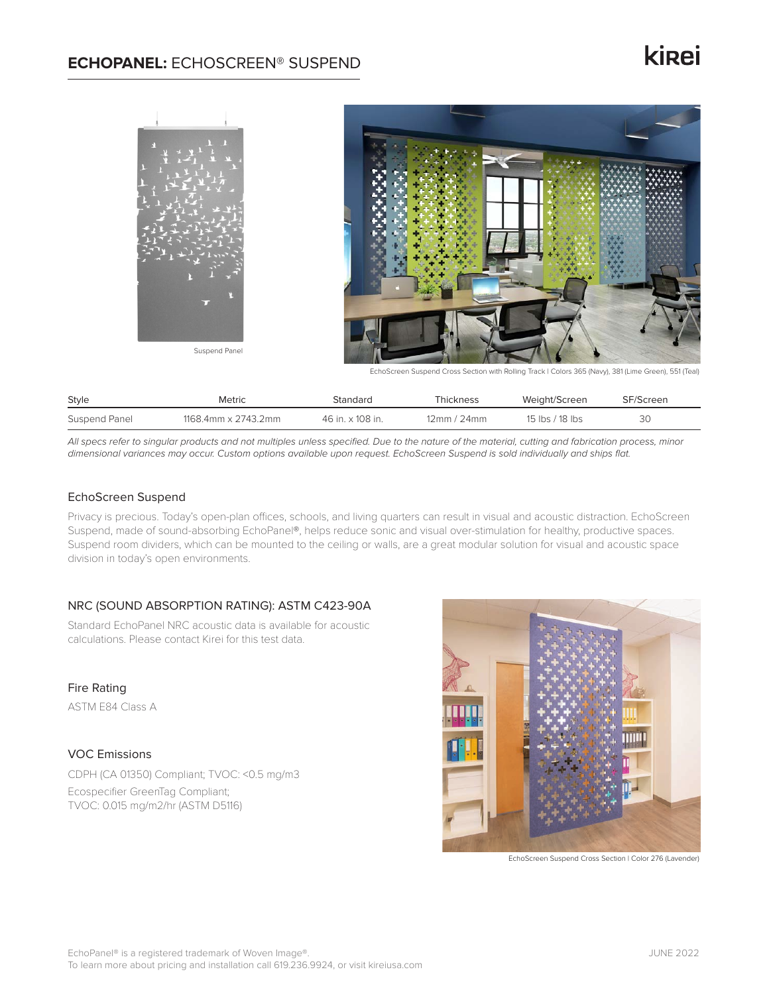### **ECHOPANEL:** ECHOSCREEN® SUSPEND

# **ki**<sub>ei</sub>



EchoScreen Suspend Cross Section with Rolling Track | Colors 365 (Navy), 381 (Lime Green), 551 (Teal)

| Style         | Metric              | Standard         | Thickness   | Weight/Screen   | SF/Screen |
|---------------|---------------------|------------------|-------------|-----------------|-----------|
| Suspend Panel | 1168.4mm x 2743.2mm | 46 in. x 108 in. | 12mm / 24mm | 15 lbs / 18 lbs | ЗС        |

*All specs refer to singular products and not multiples unless specified. Due to the nature of the material, cutting and fabrication process, minor dimensional variances may occur. Custom options available upon request. EchoScreen Suspend is sold individually and ships flat.*

#### EchoScreen Suspend

Privacy is precious. Today's open-plan offices, schools, and living quarters can result in visual and acoustic distraction. EchoScreen Suspend, made of sound-absorbing EchoPanel®, helps reduce sonic and visual over-stimulation for healthy, productive spaces. Suspend room dividers, which can be mounted to the ceiling or walls, are a great modular solution for visual and acoustic space division in today's open environments.

#### NRC (SOUND ABSORPTION RATING): ASTM C423-90A

Standard EchoPanel NRC acoustic data is available for acoustic calculations. Please contact Kirei for this test data.

#### Fire Rating

ASTM E84 Class A

#### VOC Emissions

CDPH (CA 01350) Compliant; TVOC: <0.5 mg/m3 Ecospecifier GreenTag Compliant; TVOC: 0.015 mg/m2/hr (ASTM D5116)



EchoScreen Suspend Cross Section | Color 276 (Lavender)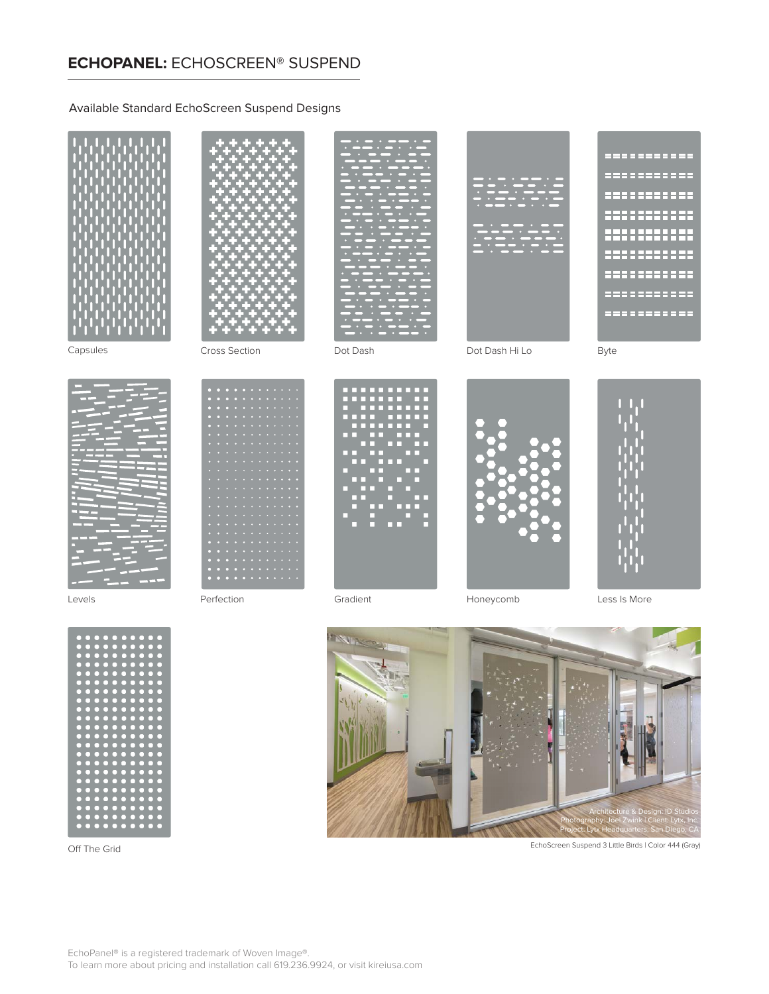### **ECHOPANEL:** ECHOSCREEN® SUSPEND

#### Available Standard EchoScreen Suspend Designs





Off The Grid



EchoScreen Suspend 3 Little Birds | Color 444 (Gray)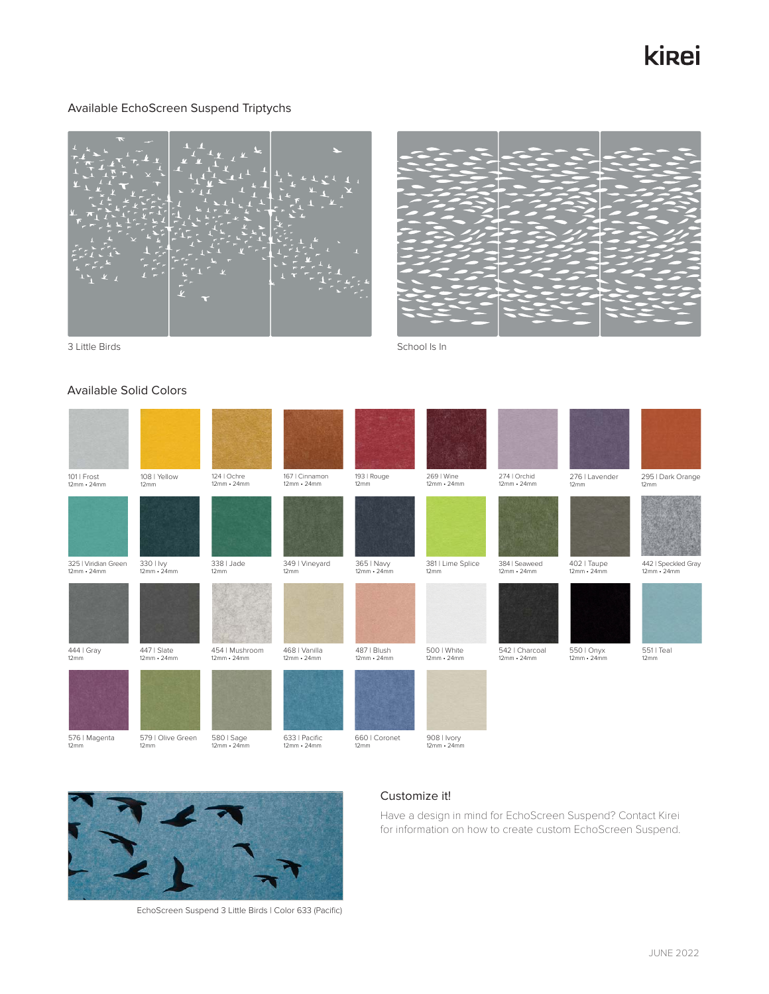# kirei

#### Available EchoScreen Suspend Triptychs



### Available Solid Colors

| 101   Frost<br>$12mm \cdot 24mm$          | 108   Yellow<br>12mm                     | 124   Ochre<br>12mm · 24mm          | 167   Cinnamon<br>$12mm \cdot 24mm$ | 193   Rouge<br>12mm              | 269   Wine<br>$12mm \cdot 24mm$  | 274   Orchid<br>$12mm \cdot 24mm$   | 276   Lavender<br>12mm           | 295   Dark Orange<br>12mm                |
|-------------------------------------------|------------------------------------------|-------------------------------------|-------------------------------------|----------------------------------|----------------------------------|-------------------------------------|----------------------------------|------------------------------------------|
|                                           |                                          |                                     |                                     |                                  |                                  |                                     |                                  |                                          |
| 325   Viridian Green<br>$12mm \cdot 24mm$ | 330   lvy<br>$12mm - 24mm$               | 338   Jade<br>12mm                  | 349   Vineyard<br>12mm              | 365   Navy<br>$12mm \cdot 24mm$  | 381   Lime Splice<br>12mm        | 384   Seaweed<br>$12mm \cdot 24mm$  | 402   Taupe<br>$12mm \cdot 24mm$ | 442   Speckled Gray<br>$12mm \cdot 24mm$ |
|                                           |                                          |                                     |                                     |                                  |                                  |                                     |                                  |                                          |
| 444   Gray<br>12mm                        | 447   Slate<br>$12mm \cdot 24mm$         | 454   Mushroom<br>$12mm \cdot 24mm$ | 468   Vanilla<br>$12mm \cdot 24mm$  | 487   Blush<br>$12mm \cdot 24mm$ | 500   White<br>$12mm \cdot 24mm$ | 542   Charcoal<br>$12mm \cdot 24mm$ | 550   Onyx<br>$12mm \cdot 24mm$  | 551   Teal<br>12mm                       |
|                                           |                                          |                                     |                                     |                                  |                                  |                                     |                                  |                                          |
| 576   Magenta<br>12mm                     | 579   Olive Green<br>$12 \, \mathrm{mm}$ | 580   Sage<br>$12mm \cdot 24mm$     | 633   Pacific<br>$12mm \cdot 24mm$  | 660   Coronet<br>$12 \text{mm}$  | 908   Ivory<br>$12mm \cdot 24mm$ |                                     |                                  |                                          |



EchoScreen Suspend 3 Little Birds | Color 633 (Pacific)

#### Customize it!

Have a design in mind for EchoScreen Suspend? Contact Kirei for information on how to create custom EchoScreen Suspend.